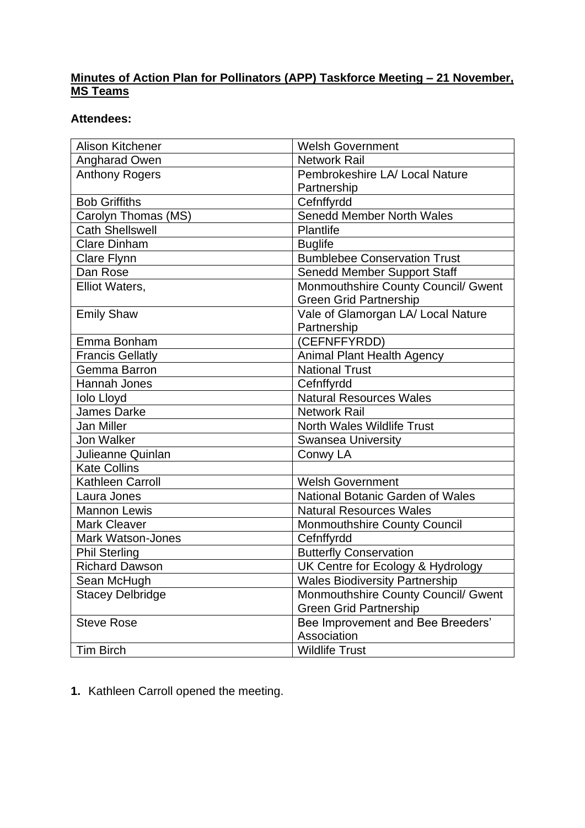# **Minutes of Action Plan for Pollinators (APP) Taskforce Meeting – 21 November, MS Teams**

# **Attendees:**

| Alison Kitchener         | <b>Welsh Government</b>                 |
|--------------------------|-----------------------------------------|
| <b>Angharad Owen</b>     | <b>Network Rail</b>                     |
| <b>Anthony Rogers</b>    | Pembrokeshire LA/ Local Nature          |
|                          | Partnership                             |
| <b>Bob Griffiths</b>     | Cefnffyrdd                              |
| Carolyn Thomas (MS)      | <b>Senedd Member North Wales</b>        |
| <b>Cath Shellswell</b>   | Plantlife                               |
| <b>Clare Dinham</b>      | <b>Buglife</b>                          |
| <b>Clare Flynn</b>       | <b>Bumblebee Conservation Trust</b>     |
| Dan Rose                 | <b>Senedd Member Support Staff</b>      |
| Elliot Waters,           | Monmouthshire County Council/ Gwent     |
|                          | <b>Green Grid Partnership</b>           |
| <b>Emily Shaw</b>        | Vale of Glamorgan LA/ Local Nature      |
|                          | Partnership                             |
| Emma Bonham              | (CEFNFFYRDD)                            |
| <b>Francis Gellatly</b>  | <b>Animal Plant Health Agency</b>       |
| Gemma Barron             | <b>National Trust</b>                   |
| Hannah Jones             | Cefnffyrdd                              |
| <b>Iolo Lloyd</b>        | <b>Natural Resources Wales</b>          |
| <b>James Darke</b>       | <b>Network Rail</b>                     |
| Jan Miller               | <b>North Wales Wildlife Trust</b>       |
| Jon Walker               | <b>Swansea University</b>               |
| Julieanne Quinlan        | Conwy LA                                |
| <b>Kate Collins</b>      |                                         |
| Kathleen Carroll         | <b>Welsh Government</b>                 |
| Laura Jones              | <b>National Botanic Garden of Wales</b> |
| <b>Mannon Lewis</b>      | <b>Natural Resources Wales</b>          |
| <b>Mark Cleaver</b>      | Monmouthshire County Council            |
| <b>Mark Watson-Jones</b> | Cefnffyrdd                              |
| <b>Phil Sterling</b>     | <b>Butterfly Conservation</b>           |
| <b>Richard Dawson</b>    | UK Centre for Ecology & Hydrology       |
| Sean McHugh              | <b>Wales Biodiversity Partnership</b>   |
| <b>Stacey Delbridge</b>  | Monmouthshire County Council/ Gwent     |
|                          | <b>Green Grid Partnership</b>           |
| <b>Steve Rose</b>        | Bee Improvement and Bee Breeders'       |
|                          | Association                             |
| <b>Tim Birch</b>         | <b>Wildlife Trust</b>                   |

**1.** Kathleen Carroll opened the meeting.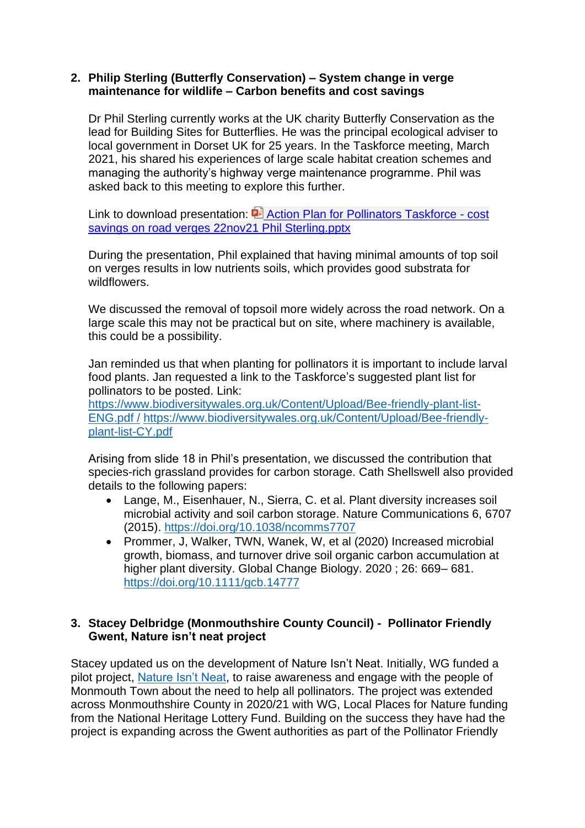#### **2. Philip Sterling (Butterfly Conservation) – System change in verge maintenance for wildlife – Carbon benefits and cost savings**

Dr Phil Sterling currently works at the UK charity Butterfly Conservation as the lead for Building Sites for Butterflies. He was the principal ecological adviser to local government in Dorset UK for 25 years. In the Taskforce meeting, March 2021, his shared his experiences of large scale habitat creation schemes and managing the authority's highway verge maintenance programme. Phil was asked back to this meeting to explore this further.

Link to download presentation: **Action Plan for Pollinators Taskforce - cost** [savings on road verges 22nov21 Phil Sterling.pptx](https://eur01.safelinks.protection.outlook.com/ap/p-59584e83/?url=https%3A%2F%2Fbutterflyconservation-my.sharepoint.com%2F%3Ap%3A%2Fg%2Fpersonal%2Fpsterling_butterfly-conservation_org%2FEZ7MbyN5wl1NlA3UqowjbxUB672GPaeV7qj39CEZZA7scg%3Fe%3Dwd97UY&data=04%7C01%7CKathleen.Carroll%40gov.wales%7C50329b42037e4acf678608d9adb0d4c0%7Ca2cc36c592804ae78887d06dab89216b%7C0%7C0%7C637731797256307625%7CUnknown%7CTWFpbGZsb3d8eyJWIjoiMC4wLjAwMDAiLCJQIjoiV2luMzIiLCJBTiI6Ik1haWwiLCJXVCI6Mn0%3D%7C3000&sdata=jTHJZPzkxlWjO8HIACfFUttXp6dfxPr%2BftdzSomlImY%3D&reserved=0)

During the presentation, Phil explained that having minimal amounts of top soil on verges results in low nutrients soils, which provides good substrata for wildflowers.

We discussed the removal of topsoil more widely across the road network. On a large scale this may not be practical but on site, where machinery is available, this could be a possibility.

Jan reminded us that when planting for pollinators it is important to include larval food plants. Jan requested a link to the Taskforce's suggested plant list for pollinators to be posted. Link:

[https://www.biodiversitywales.org.uk/Content/Upload/Bee-friendly-plant-list-](https://www.biodiversitywales.org.uk/Content/Upload/Bee-friendly-plant-list-ENG.pdf%20/)[ENG.pdf /](https://www.biodiversitywales.org.uk/Content/Upload/Bee-friendly-plant-list-ENG.pdf%20/) [https://www.biodiversitywales.org.uk/Content/Upload/Bee-friendly](https://www.biodiversitywales.org.uk/Content/Upload/Bee-friendly-plant-list-CY.pdf)[plant-list-CY.pdf](https://www.biodiversitywales.org.uk/Content/Upload/Bee-friendly-plant-list-CY.pdf)

Arising from slide 18 in Phil's presentation, we discussed the contribution that species-rich grassland provides for carbon storage. Cath Shellswell also provided details to the following papers:

- Lange, M., Eisenhauer, N., Sierra, C. et al. Plant diversity increases soil microbial activity and soil carbon storage. Nature Communications 6, 6707 (2015).<https://doi.org/10.1038/ncomms7707>
- Prommer, J, Walker, TWN, Wanek, W, et al (2020) Increased microbial growth, biomass, and turnover drive soil organic carbon accumulation at higher plant diversity. Global Change Biology. 2020 ; 26: 669– 681. <https://doi.org/10.1111/gcb.14777>

# **3. Stacey Delbridge (Monmouthshire County Council) - Pollinator Friendly Gwent, Nature isn't neat project**

Stacey updated us on the development of Nature Isn't Neat. Initially, WG funded a pilot project, [Nature Isn't Neat,](https://eur01.safelinks.protection.outlook.com/?url=https%3A%2F%2Fwww.monmouthshire.gov.uk%2Fnin%2F&data=04%7C01%7CKathleen.Carroll%40gov.wales%7Cdf06a70c97b84446218a08d992e66476%7Ca2cc36c592804ae78887d06dab89216b%7C0%7C0%7C637702340483679102%7CUnknown%7CTWFpbGZsb3d8eyJWIjoiMC4wLjAwMDAiLCJQIjoiV2luMzIiLCJBTiI6Ik1haWwiLCJXVCI6Mn0%3D%7C1000&sdata=BTtxmiI3aQCfIaPbJy1joM%2FfA3EUp9%2F4ZV85KVqCZ%2FI%3D&reserved=0) to raise awareness and engage with the people of Monmouth Town about the need to help all pollinators. The project was extended across Monmouthshire County in 2020/21 with WG, Local Places for Nature funding from the National Heritage Lottery Fund. Building on the success they have had the project is expanding across the Gwent authorities as part of the Pollinator Friendly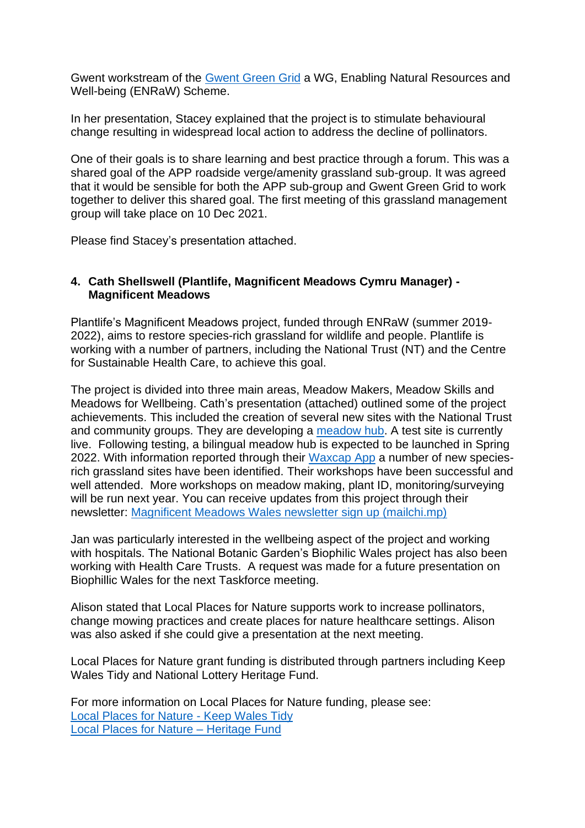Gwent workstream of the [Gwent Green Grid](https://www.monlife.co.uk/outdoor/green-infrastructure/green-infrastructure-partnerships-projects/gwent-green-grid-partnership/) a WG, Enabling Natural Resources and Well-being (ENRaW) Scheme.

In her presentation, Stacey explained that the project is to stimulate behavioural change resulting in widespread local action to address the decline of pollinators.

One of their goals is to share learning and best practice through a forum. This was a shared goal of the APP roadside verge/amenity grassland sub-group. It was agreed that it would be sensible for both the APP sub-group and Gwent Green Grid to work together to deliver this shared goal. The first meeting of this grassland management group will take place on 10 Dec 2021.

Please find Stacey's presentation attached.

## **4. Cath Shellswell (Plantlife, Magnificent Meadows Cymru Manager) - Magnificent Meadows**

Plantlife's Magnificent Meadows project, funded through ENRaW (summer 2019- 2022), aims to restore species-rich grassland for wildlife and people. Plantlife is working with a number of partners, including the National Trust (NT) and the Centre for Sustainable Health Care, to achieve this goal.

The project is divided into three main areas, Meadow Makers, Meadow Skills and Meadows for Wellbeing. Cath's presentation (attached) outlined some of the project achievements. This included the creation of several new sites with the National Trust and community groups. They are developing a [meadow hub.](https://meadows.plantlife.org.uk/) A test site is currently live. Following testing, a bilingual meadow hub is expected to be launched in Spring 2022. With information reported through their [Waxcap App](https://www.plantlife.org.uk/uk/discover-wild-plants-nature/habitats/grassland/waxcaps-fungi/waxcapp-survey) a number of new speciesrich grassland sites have been identified. Their workshops have been successful and well attended. More workshops on meadow making, plant ID, monitoring/surveying will be run next year. You can receive updates from this project through their newsletter: [Magnificent Meadows Wales newsletter sign up \(mailchi.mp\)](https://mailchi.mp/plantlife/magnificentmeadowswales)

Jan was particularly interested in the wellbeing aspect of the project and working with hospitals. The National Botanic Garden's Biophilic Wales project has also been working with Health Care Trusts. A request was made for a future presentation on Biophillic Wales for the next Taskforce meeting.

Alison stated that Local Places for Nature supports work to increase pollinators, change mowing practices and create places for nature healthcare settings. Alison was also asked if she could give a presentation at the next meeting.

Local Places for Nature grant funding is distributed through partners including Keep Wales Tidy and National Lottery Heritage Fund.

For more information on Local Places for Nature funding, please see: [Local Places for Nature -](https://keepwalestidy.cymru/our-work/conservation/nature/) Keep Wales Tidy [Local Places for Nature –](https://www.heritagefund.org.uk/funding/local-places-nature#:~:text=Local%20Places%20for%20Nature%20is%20a%20capital%20grant,communities%20in%20the%2050%25%20most%20deprived%20areas%20OR) Heritage Fund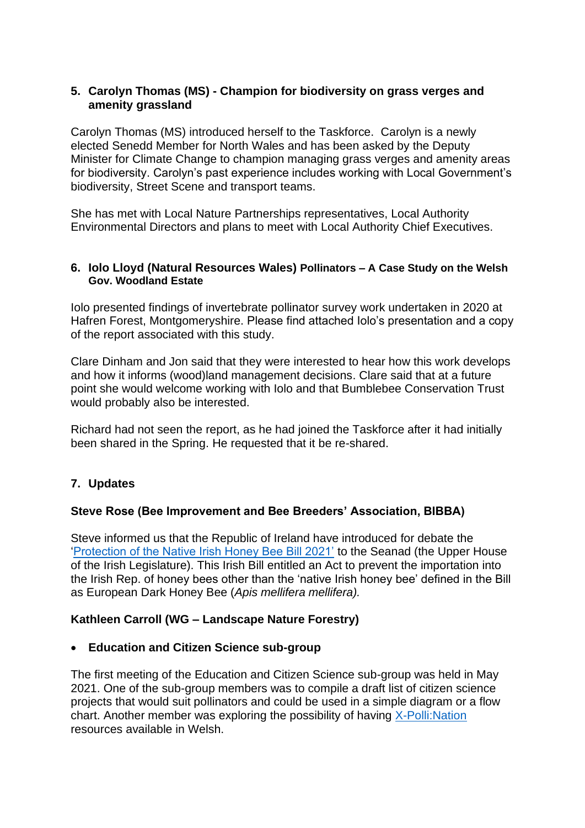### **5. Carolyn Thomas (MS) - Champion for biodiversity on grass verges and amenity grassland**

Carolyn Thomas (MS) introduced herself to the Taskforce. Carolyn is a newly elected Senedd Member for North Wales and has been asked by the Deputy Minister for Climate Change to champion managing grass verges and amenity areas for biodiversity. Carolyn's past experience includes working with Local Government's biodiversity, Street Scene and transport teams.

She has met with Local Nature Partnerships representatives, Local Authority Environmental Directors and plans to meet with Local Authority Chief Executives.

#### **6. Iolo Lloyd (Natural Resources Wales) Pollinators – A Case Study on the Welsh Gov. Woodland Estate**

Iolo presented findings of invertebrate pollinator survey work undertaken in 2020 at Hafren Forest, Montgomeryshire. Please find attached Iolo's presentation and a copy of the report associated with this study.

Clare Dinham and Jon said that they were interested to hear how this work develops and how it informs (wood)land management decisions. Clare said that at a future point she would welcome working with Iolo and that Bumblebee Conservation Trust would probably also be interested.

Richard had not seen the report, as he had joined the Taskforce after it had initially been shared in the Spring. He requested that it be re-shared.

# **7. Updates**

#### **Steve Rose (Bee Improvement and Bee Breeders' Association, BIBBA)**

Steve informed us that the Republic of Ireland have introduced for debate the ['Protection of the Native Irish Honey Bee Bill 2021'](https://www.oireachtas.ie/en/bills/bill/2021/133/) to the Seanad (the Upper House of the Irish Legislature). This Irish Bill entitled an Act to prevent the importation into the Irish Rep. of honey bees other than the 'native Irish honey bee' defined in the Bill as European Dark Honey Bee (*Apis mellifera mellifera).*

#### **Kathleen Carroll (WG – Landscape Nature Forestry)**

#### • **Education and Citizen Science sub-group**

The first meeting of the Education and Citizen Science sub-group was held in May 2021. One of the sub-group members was to compile a draft list of citizen science projects that would suit pollinators and could be used in a simple diagram or a flow chart. Another member was exploring the possibility of having [X-Polli:Nation](https://xpollination.org/) resources available in Welsh.